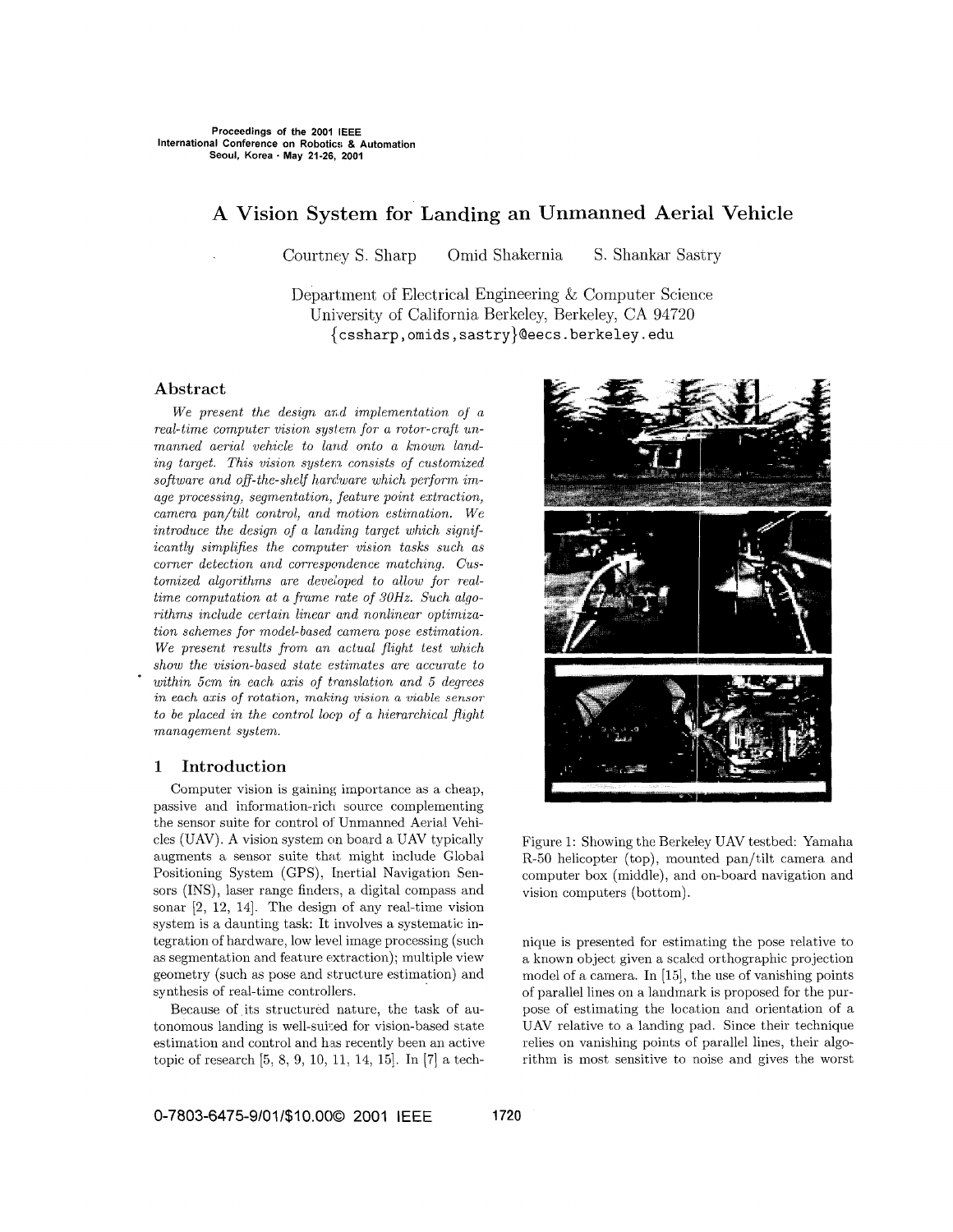# **A Vision** System **for Landing an Unmanned Aerial Vehicle**

Courtney S. Sharp Omid Shakernia S. Shankar Sastry

Department of Electrical Engineering & Computer Science University of California Berkeley, Berkeley, CA 94720 { cssharp, **omids** , **sastry}@eecs** . **berkeley** . **edu** 

# **Abstract**

*We present the design ami implementation of a real-time computer vision syslem for a rotor-craft unmanned aerial vehicle to land onto a known landing target. This vision system consists of customized*  software and off-the-shelf hardware which perform im*age processing, segmentation, feature point extraction, camera pan/tilt control, and motion estimation. We introduce the design of a landing target which significantly simplifies the computer vision tasks such as corner detection and correspondence matching. Oustomized algorithms are deveiloped to allow for realtime computation at a frame rate of 3OHz. Such algorithms include certain linear and nonlinear optimization schemes for model-based camera pose estimation. We present results from an actual flight test which show the vision-based state estimates are accurate to*  within 5cm in each axis of translation and 5 degrees *in each axis* of *rotation, making vision a viable sensor to be placed in the control loop of a hierarchical flight management system.* 

## **1 Introduction**

Computer vision is gaining importance as a cheap, passive and information-rich source complementing the sensor suite for control of Unmanned Aerial Vehicles (UAV). A vision system on board a UAV typically augments a sensor suite that might include Global Positioning System (GPS), Inertial Navigation Sensors (INS), laser range finders, a digital compass and sonar  $[2, 12, 14]$ . The design of any real-time vision system is a daunting task: It involves a systematic integration of hardware, low level image processing (such as segmentation and feature extraction); multiple view geometry (such as pose and structure estimation) and synthesis of real-time controllers.

Because of its structured nature, the task of autonomous landing is well-suited for vision-based state estimation and control and has recently been an active topic of research [5, 8, 9, 10, 11, 14, 15]. In [7] a tech-



Figure 1: Showing the Berkeley UAV testbed: Yamaha R-50 helicopter (top), mounted pan/tilt camera and computer box (middle), and on-board navigation and vision computers (bottom).

nique is presented for estimating the pose relative to a known object given a scaled orthographic projection model of a camera. In  $[15]$ , the use of vanishing points of parallel lines on a landmark is proposed for the purpose of estimating the location and orientation of a UAV relative to a landing pad. Since their technique relies on vanishing points of parallel lines, their algorithm is most sensitive to noise and gives the worst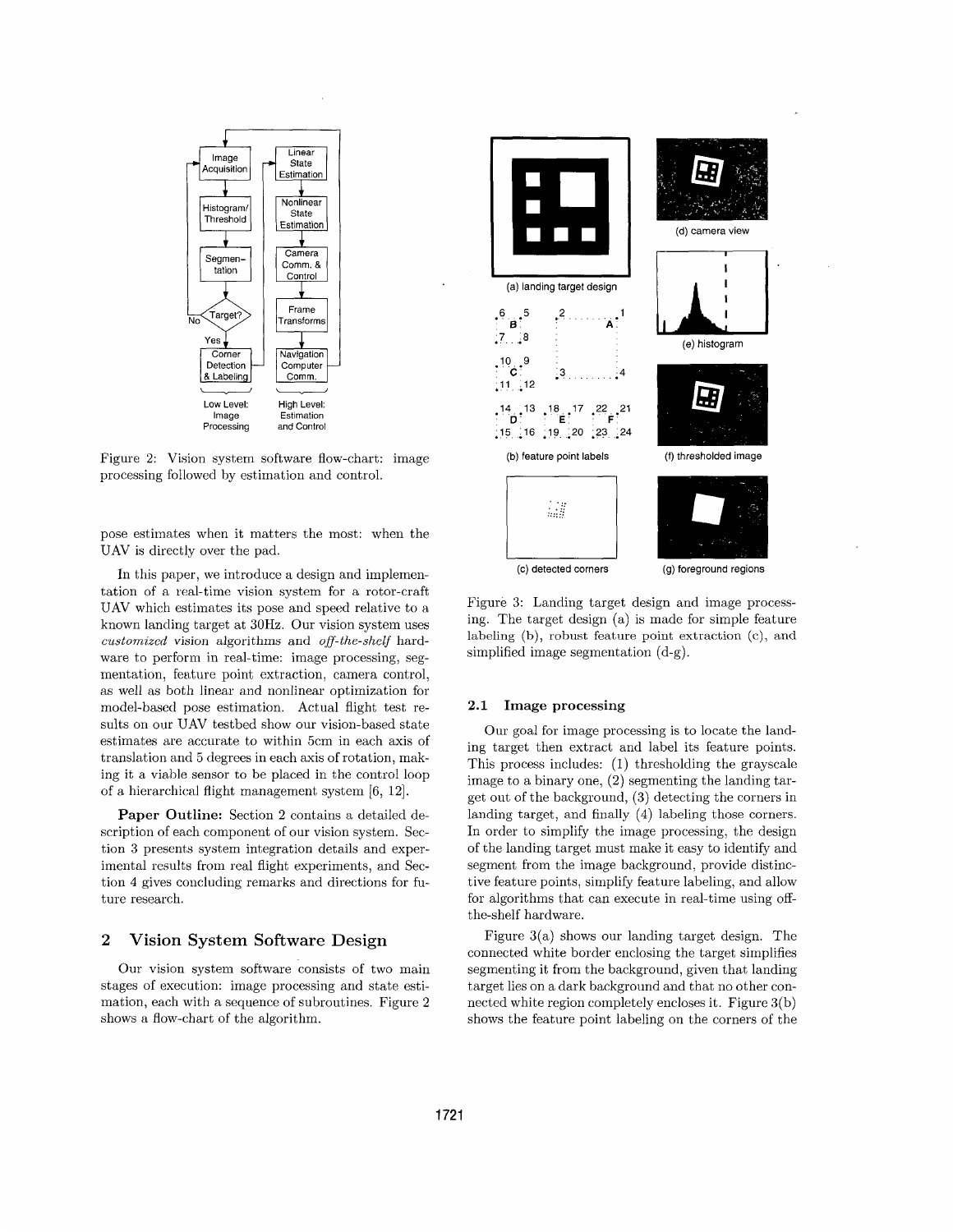

Figure 2: Vision system software flow-chart: image processing followed by estimation and control.

pose estimates when it matters the most: when the UAV is directly over the pad.

In this paper, we introduce a design and implementation of a real-time vision system for a rotor-craft UAV which estimates its pose and speed relative to a known landing target at 30Hz. Our vision system uses *customzzed* vision algorithins and *off-the-shelf* hardware to perform in real-time: image processing, segmentation, feature point extraction, camera control, as well as both linear and nonlinear optimization for model-basecl pose estimation. Actual flight test results on our UAV testbed show our vision-based state estimates are accurate to within 5cm in each axis of translation and *5* degrees in each axis of rotation, making it a viable sensor to be placed in the control loop of a hierarchical flight management system  $[6, 12]$ .

Paper Outline: Section 2 contains a detailed description of each component of our vision system. Section *3* presents system integration details and experimental results from real flight experiments, and Section 4 gives concluding remarks and directions for future research.

# **2** Vision System Software Design

Our vision system software consists of two main stages of execution: image processing and state estimation, each with a sequence of subroutines. Figure 2 shows a flow-chart of the algorithm.



Figure *3:* Landing target design and image processing. The target design (a) is made for simple feature labeling (b), robust feature point extraction (c), and simplified image segmentation (d-g).

#### **2.1 Image processing**

Our goal for image processing is to locate the landing target then extract and label its feature points. This process includes: (1) thresholding the grayscale image to a binary one, (2) segmenting the landing target out of the background, *(3)* detecting the corners in landing target, and finally (4) labeling those corners. In order to simplify the image processing, the design of the landing target must make it easy to identify and segment from the image background, provide distinctive feature points, simplify feature labeling, and allow for algorithms that can execute in real-time using offthe-shelf hardware.

Figure 3(a) shows our landing target design. The connected white border enclosing the target simplifies segmenting it from the background, given that landing target lies on a dark background and that no other connected white region completely encloses it. Figure 3(b) shows the feature point labeling on the corners of the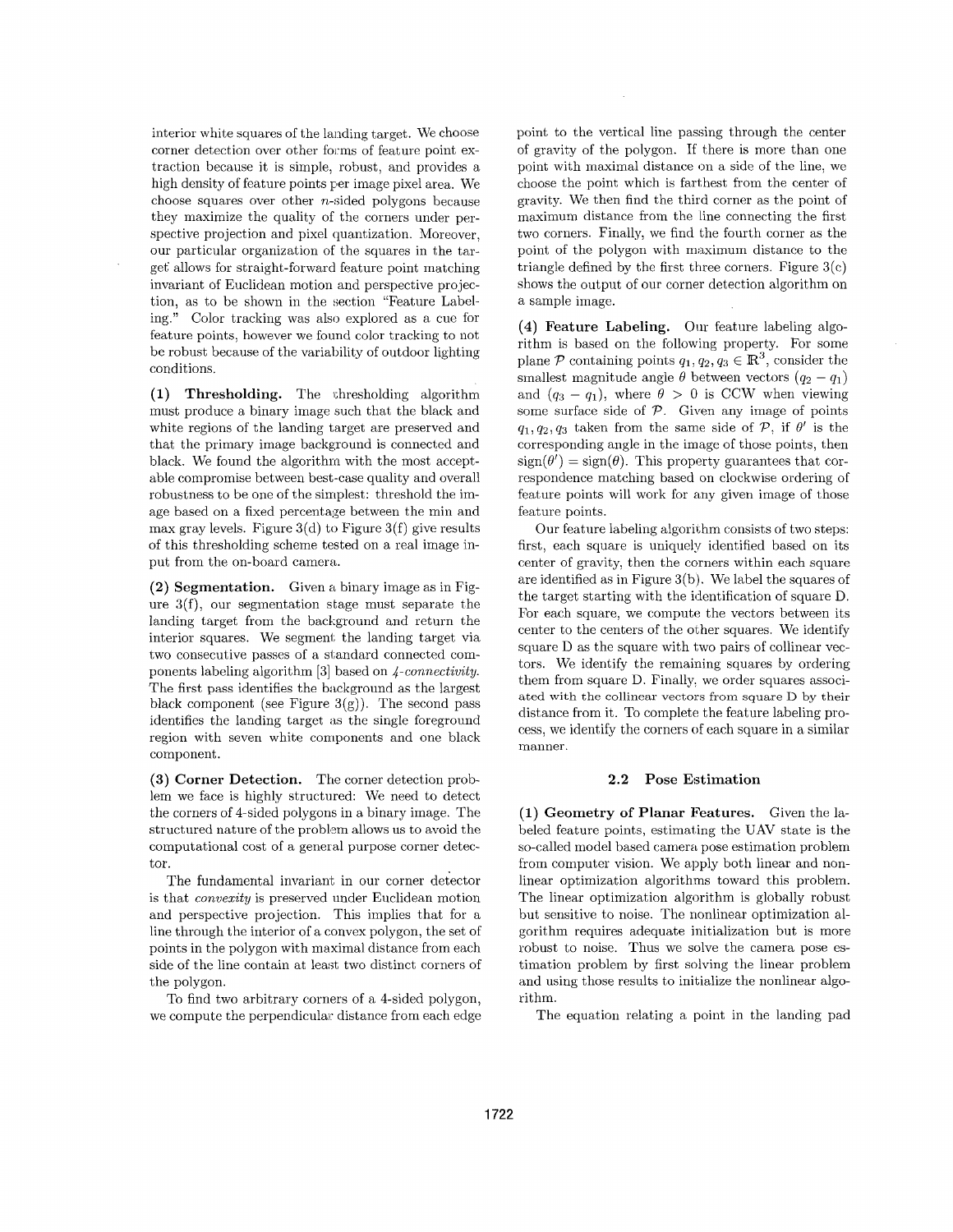interior white squares of the landing target. We choose corner detection over other forms of feature point extraction because it is simple, robust, and provides a high density of feature points per image pixel area. We choose squares over other n-sided polygons because they maximize the quality of the corners under perspective projection and pixel quantization. Moreover, our particular organization of the squares in the target' allows for straight-forward feature point matching invariant of Euclidean motion and perspective projection, as to be shown in the section "Feature Labeling." Color tracking was also explored as a cue for feature points, however we found color tracking to not be robust because of the variability of outdoor lighting conditions.

(1) Thresholding. The shresholding algorithm must produce a binary image such that the black and white regions of the landing target are preserved and that the primary image background is connected and black. We found the algorithm with the most acceptable compromise between best-case quality and overall robustness to be one of the simplest: threshold the image based on a fixed percentage between the min and max gray levels. Figure  $3(d)$  to Figure  $3(f)$  give results of this thresholding scheme tested on a real image input from the on-board camera.

 $(2)$  Segmentation. Given a binary image as in Figure  $3(f)$ , our segmentation stage must separate the landing target from the background and return the interior squares. We segment the landing target via two consecutive passes of a standard connected components labeling algorithm [3] based on *4-conmectivity.*  The first pass identifies the background as the largest black component (see Figure  $3(g)$ ). The second pass identifies the landing target as the single foreground region with seven white components and one black component.

**(3)** Corner Detection. The corner detection problem we face is highly structured: We need to detect the corners of 4-sided polygons in a binary image. The structured nature of the problem allows us to avoid the computational cost of a general purpose corner detector.

The fundamental invariant in our corner detector is that *convexity* is preserved under Euclidean motion and perspective projection. This implies that for a line through the interior of a convex polygon, the set of points in the polygon with maximal distance from each side of the line contain at least two distinct corners of the polygon.

To find two arbitrary corners of a 4-sided polygon, we compute the perpendicular distance from each edge point to the vertical line passing through the center of gravity of the polygon. If there is more than one point with maximal distance on a side of the line, we choose the point which is farthest from the center of gravity. We then find the third corner as the point of maximum distance from the line connecting the first two corners. Finally, we find the fourth corner as the point of the polygon with maximum distance to the triangle defined by the first three corners. Figure  $3(c)$ shows the output of our corner detection algorithm on a sample image.

**(4)** Feature Labeling. Our feature labeling algorithm is based on the following property. For some plane P containing points  $q_1, q_2, q_3 \in \mathbb{R}^3$ , consider the smallest magnitude angle  $\theta$  between vectors  $(q_2 - q_1)$ and  $(q_3 - q_1)$ , where  $\theta > 0$  is CCW when viewing some surface side of  $P$ . Given any image of points  $q_1, q_2, q_3$  taken from the same side of  $P$ , if  $\theta'$  is the corresponding angle in the image of those points, then  $sign(\theta') = sign(\theta)$ . This property guarantees that correspondence matching based on clockwise ordering of feature points will work for any given image of those feature points.

Our feature labeling algoribhm consists of two steps: first, each square is uniquely identified based on its center of gravity, then the corners within each square are identified as in Figure 3(b). We label the squares of the target starting with the identification of square D. For each square, we compute the vectors between its center to the centers of the other squares. We identify square D as the square with two pairs of collinear vectors. We identify the remaining squares by ordering them from square D. Finally. we order squares associdistance from it. To complete the feature labeling process, we identify the corners of each square in a similar rnanner . ated with the collinear vectors from square D by their

#### 2.2 Pose Estimation

(1) Geometry of Planar Features. Given the labeled feature points, estimating the UAV state is the so-called model based camera pose estimation problem from computer vision. We apply both linear and nonlinear optimization algorithms toward this problem. The linear optimization algorithm is globally robust but sensitive to noise. The nonlinear optimization algorithm requires adequate initialization but is more robust to noise. Thus we solve the camera pose estimation problem by first solving the linear problem and using those results to initialize the nonlinear algorithm.

The equation relating a point in the landing pad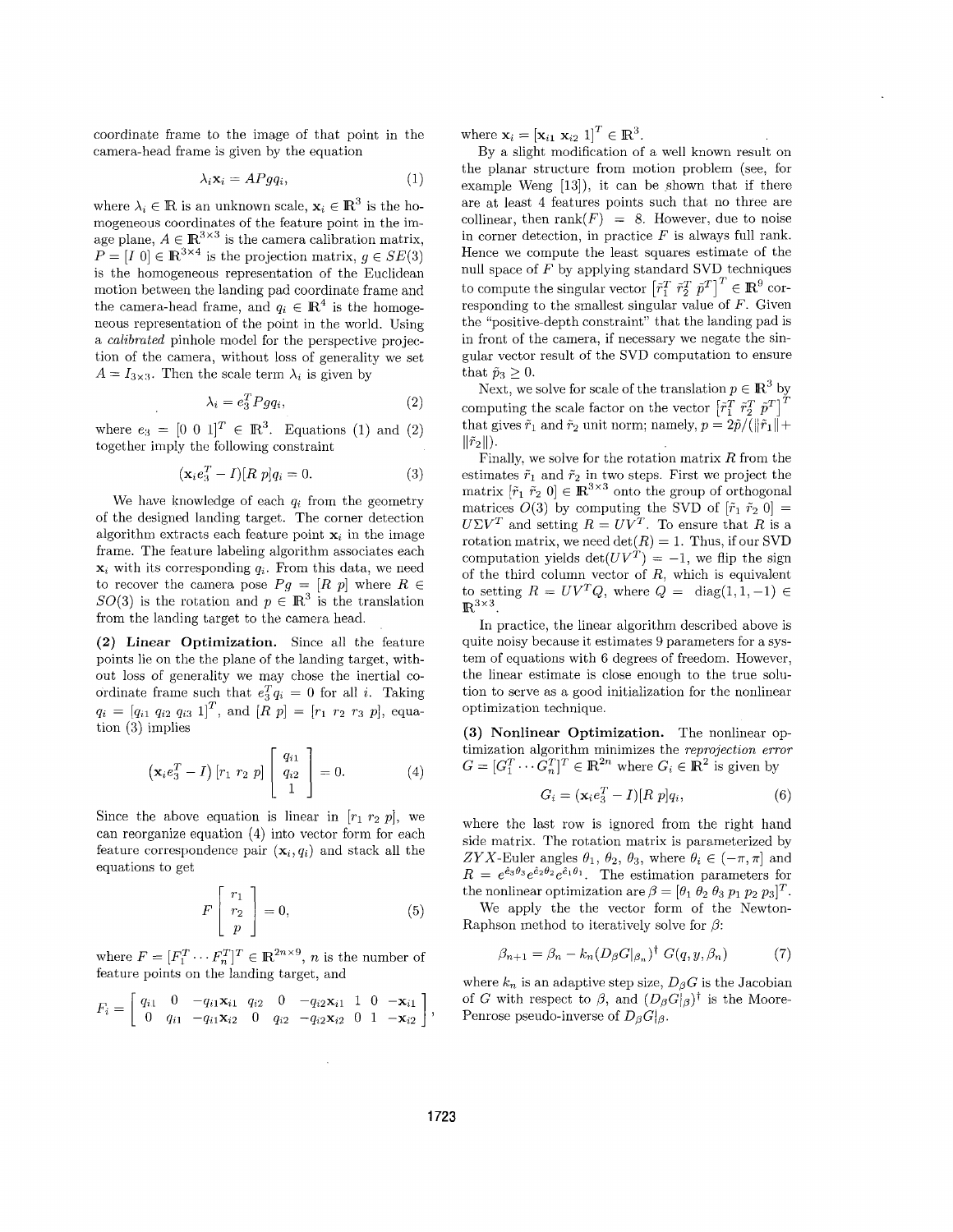coordinate frame to the image of that point in the camera-head frame is given by the equation

$$
\lambda_i \mathbf{x}_i = APgq_i,\tag{1}
$$

where  $\lambda_i \in \mathbb{R}$  is an unknown scale,  $\mathbf{x}_i \in \mathbb{R}^3$  is the homogeneous coordinates of the feature point in the image plane,  $A \in \mathbb{R}^{3 \times 3}$  is the camera calibration matrix,  $P = [I \ 0] \in \mathbb{R}^{3 \times 4}$  is the projection matrix,  $g \in SE(3)$ is the homogeneous representation of the Euclidean motion between the landing pad coordinate frame and the camera-head frame, and  $q_i \in \mathbb{R}^4$  is the homogeneous representation of the point in the world. Using a *calibrated* pinhole model for the perspective projection of the camera, without loss of generality we set  $A = I_{3\times 3}$ . Then the scale term  $\lambda_i$  is given by

$$
\lambda_i = e_3^T P g q_i,\tag{2}
$$

where  $e_3 = [0 \ 0 \ 1]^T \in \mathbb{R}^3$ . Equations (1) and (2) together imply the following constraint

$$
(\mathbf{x}_i e_3^T - I)[R \ p]q_i = 0. \tag{3}
$$

We have knowledge of each *qi* from the geometry of the designed landing target. The corner detection algorithm extracts each feature point  $\mathbf{x}_i$  in the image frame. The feature labeling algorithm associates each  $\mathbf{x}_i$  with its corresponding  $q_i$ . From this data, we need to recover the camera pose  $Pg = [R \; p]$  where  $R \in$ *SO(3)* is the rotation and  $p \in \mathbb{R}^3$  is the translation from the landing target to the camera head.

**(2) Linear Optimization.** Since all the feature points lie on the the plane of the landing target, without loss of generality we may chose the inertial coordinate frame such that  $e_3^T q_i = 0$  for all *i*. Taking  $q_i = [q_{i1} \ q_{i2} \ q_{i3} \ 1]^T$ , and  $[R \ p] = [r_1 \ r_2 \ r_3 \ p]$ , equation **(3)** implies

$$
\left(\mathbf{x}_{i}e_{3}^{T}-I\right)\left[r_{1} r_{2} p\right]\left[\begin{array}{c} q_{i1} \\ q_{i2} \\ 1 \end{array}\right]=0.
$$
 (4)

Since the above equation is linear in  $[r_1 \ r_2 \ p]$ , we can reorganize equation (4) into vector form for each feature correspondence pair  $(\mathbf{x}_i, q_i)$  and stack all the equations to get

Idence pair 
$$
(\mathbf{x}_i, q_i)
$$
 and stack all the

\n
$$
F\begin{bmatrix} r_1 \\ r_2 \\ p \end{bmatrix} = 0, \tag{5}
$$

where  $F = [F_1^T \cdots F_n^T]^T \in \mathbb{R}^{2n \times 9}$ , *n* is the number of feature points on the landing target, and

$$
F_i = \left[ \begin{array}{cccccc} q_{i1} & 0 & -q_{i1} \mathbf{x}_{i1} & q_{i2} & 0 & -q_{i2} \mathbf{x}_{i1} & 1 & 0 & -\mathbf{x}_{i1} \\ 0 & q_{i1} & -q_{i1} \mathbf{x}_{i2} & 0 & q_{i2} & -q_{i2} \mathbf{x}_{i2} & 0 & 1 & -\mathbf{x}_{i2} \end{array} \right],
$$

where  $\mathbf{x}_i = [\mathbf{x}_{i1} \ \mathbf{x}_{i2} \ 1]^T \in \mathbb{R}^3$ .

By a slight modification of a well known result on the planar structure from motion problem (see, for example Weng [13]), it can be shown that if there are at least 4 features points such that no three are collinear, then  $rank(F) = 8$ . However, due to noise in corner detection, in practice *F* is always full rank. Hence we compute the least squares estimate of the null space of *F* by applying standard SVD techniques to compute the singular vector  $\begin{bmatrix} \tilde{r}_1^T & \tilde{r}_2^T & \tilde{p}^T \end{bmatrix}^T \in \mathbb{R}^9$  corresponding to the smallest singular value of *F.* Given the "positive-depth constraint" that the landing pad is in front of the camera, if necessary we negate the singular vector result of the SVD computation to ensure that  $\tilde{p}_3 \geq 0$ .

Next, we solve for scale of the translation  $p \in \mathbb{R}^3$  by computing the scale factor on the vector  $\begin{bmatrix} \tilde{r}_1^T & \tilde{r}_2^T & \tilde{p}^T \end{bmatrix}$ that gives  $\tilde{r}_1$  and  $\tilde{r}_2$  unit norm; namely,  $p = 2\tilde{p}/(\|\tilde{r}_1\| +$  $\|\tilde{r}_2\|$ ).

Finally, we solve for the rotation matrix *R* from the estimates  $\tilde{r}_1$  and  $\tilde{r}_2$  in two steps. First we project the matrix  $[\tilde{r}_1 \ \tilde{r}_2 \ 0] \in \mathbb{R}^{3 \times 3}$  onto the group of orthogonal matrices  $O(3)$  by computing the SVD of  $[\tilde{r}_1 \tilde{r}_2 \; 0] =$  $U\Sigma V^T$  and setting  $R = UV^T$ . To ensure that *R* is a rotation matrix, we need  $\det(R) = 1$ . Thus, if our SVD computation yields  $\det(UV^{T}) = -1$ , we flip the sign of the third column vector of *R,* which is equivalent to setting  $R = UV^TQ$ , where  $Q = \text{diag}(1, 1, -1) \in$  $\mathbb{R}^{3\times 3}$ 

In practice, the linear algorithm described above is quite noisy because it estimates 9 parameters for a system of equations with 6 degrees of freedom. However, the linear estimate is close enough to the true solution to serve as a good initialization for the nonlinear optimization technique.

**(3) Nonlinear Optimization.** The nonlinear optimization algorithm minimizes the *reprojection error*   $G = [G_1^T \cdots \widetilde{G_n}^T]^T \in \mathbb{R}^{2n}$  where  $G_i \in \mathbb{R}^2$  is given by

$$
G_i = (\mathbf{x}_i e_3^T - I)[R \ p]q_i, \tag{6}
$$

where the last row is ignored from the right hand side matrix. The rotation matrix is parameterized by ZYX-Euler angles  $\theta_1$ ,  $\theta_2$ ,  $\theta_3$ , where  $\theta_i \in (-\pi, \pi]$  and  $R = e^{\hat{e}_3 \theta_3} e^{\hat{e}_2 \theta_2} e^{\hat{e}_1 \theta_1}$ . The estimation parameters for the nonlinear optimization are  $\beta = [\theta_1 \ \theta_2 \ \theta_3 \ p_1 \ p_2 \ p_3]^T$ .

We apply the the vector form of the Newton-Raphson method to iteratively solve for  $\beta$ :

$$
\beta_{n+1} = \beta_n - k_n (D_{\beta} G|_{\beta_n})^{\dagger} G(q, y, \beta_n) \tag{7}
$$

where  $k_n$  is an adaptive step size,  $D_\beta G$  is the Jacobian of G with respect to  $\beta$ , and  $(D_{\beta}G|_{\beta})^{\dagger}$  is the Moore-Penrose pseudo-inverse of  $D_{\beta}G|_{\beta}$ .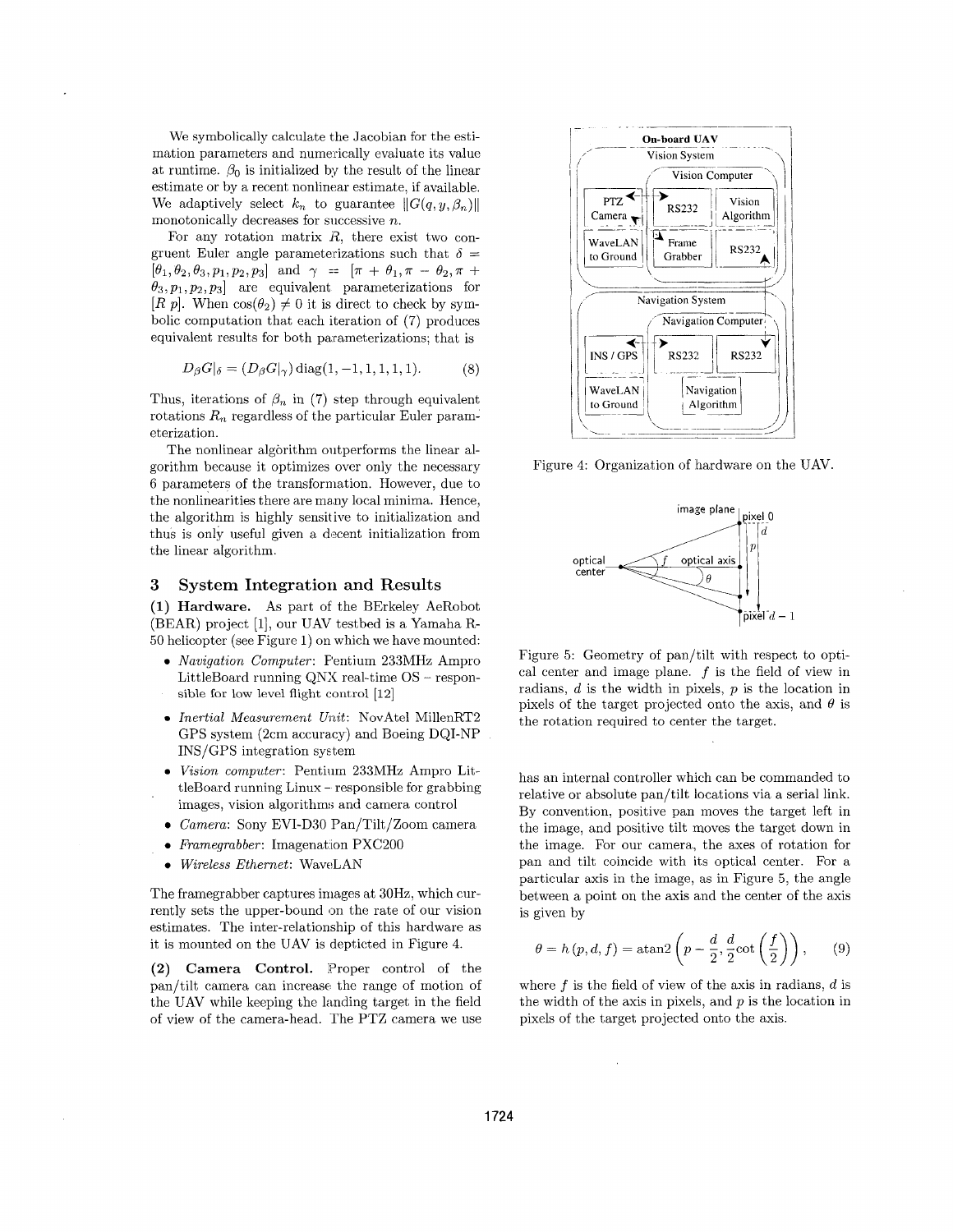We symbolically calculate the Jacobian for the estimation parameters and numerically evaluate its value at runtime.  $\beta_0$  is initialized by the result of the linear estimate or by a recent nonlinear estimate. if available. We adaptively select  $k_n$  to guarantee  $||G(q, y, \beta_n)||$ monotonically decreases for successive *n.* 

For any rotation matrix  $R$ , there exist two congruent Euler angle parameterizations such that  $\delta =$  $[\theta_1,\theta_2,\theta_3,p_1,p_2,p_3]$  and  $\gamma = [\pi + \theta_1,\pi - \theta_2,\pi +$  $\{\theta_3, p_1, p_2, p_3\}$  are equivalent parameterizations for [*R p*]. When  $cos(\theta_2) \neq 0$  it is direct to check by symbolic computation that each iteration of (7) produces equivalent results for both parameterizations; that is

$$
D_{\beta}G|_{\delta} = (D_{\beta}G|_{\gamma}) \operatorname{diag}(1, -1, 1, 1, 1, 1).
$$
 (8)

Thus, iterations of  $\beta_n$  in (7) step through equivalent rotations  $R_n$  regardless of the particular Euler parameterization.

The nonlinear algorithm outperforms the linear algorithm because it optimizes over only the necessary 6 parameters of the transformation. However, due to the nonlinearities there are many local minima. Hence, the algorithm is highly sensitive to initialization and thus is only useful given a decent initialization from the linear algorithm.

## **3** System Integration and Results

(1) Hardware. As part of the BErkeley AeRobot (BEAR) project [l], our UAV testbed is a Yamaha R-50 helicopter (see Figure 1) on which we have mounted:

- *Navigation Computer:* Pentium 233MHz Ampro LittleBoard running  $QNX$  real-time  $OS$  - responsible for low level flight control [12]
- Inertial Measurement Unit: NovAtel MillenRT2 GPS system (2cm accuracy) and Boeing DQI-NP INS/GPS integration system
- *0 Vzsaon computer:* Pentium 233MHz Ampro LittleBoard running Linux - responsible for grabbing images, vision algorithms and camera control
- *Camera:* Sony EVI-D30 Pan/Tilt/Zoom camera
- Framegrabber: Imagenation PXC200
- $\bullet$  *Wireless Ethernet*: WaveLAN

The framegrabber captures iniages at 30Hz, which currently sets the upper-bound on the rate of our vision estimates. The inter-relationship of this hardware as it is mounted on the UAV is depticted in Figure 4.

(2) Camera Control. Proper control of the pan/tilt camera can increase the range of motion of the UAV while keeping the landing target in the field of view of the camera-head. The PTZ camera we use



Figure 4: Organization of hardware on the UAV



Figure 5: Geometry of pan/tilt with respect to optical center and image plane. *f* is the field of view in radians, d is the width in pixels, *p* is the location in pixels of the target projected onto the axis, and  $\theta$  is the rotation required to center the target.

has an internal controller which can be commanded to relative or absolute pan/tilt locations via a serial link. By convention, positive pan moves the target left in the image, and positive tilt moves the target down in the image. For our camera, the axes of rotation for pan and tilt coincide with its optical center. For a particular axis in the image, as in Figure 5, the angle between a point on the axis and the center of the axis is given by

given by  
\n
$$
\theta = h(p, d, f) = \operatorname{atan2}\left(p - \frac{d}{2}, \frac{d}{2} \cot\left(\frac{f}{2}\right)\right), \qquad (9)
$$

where  $f$  is the field of view of the axis in radians,  $d$  is the width of the axis in pixels, and *p* is the location in pixels of the target projected onto the axis.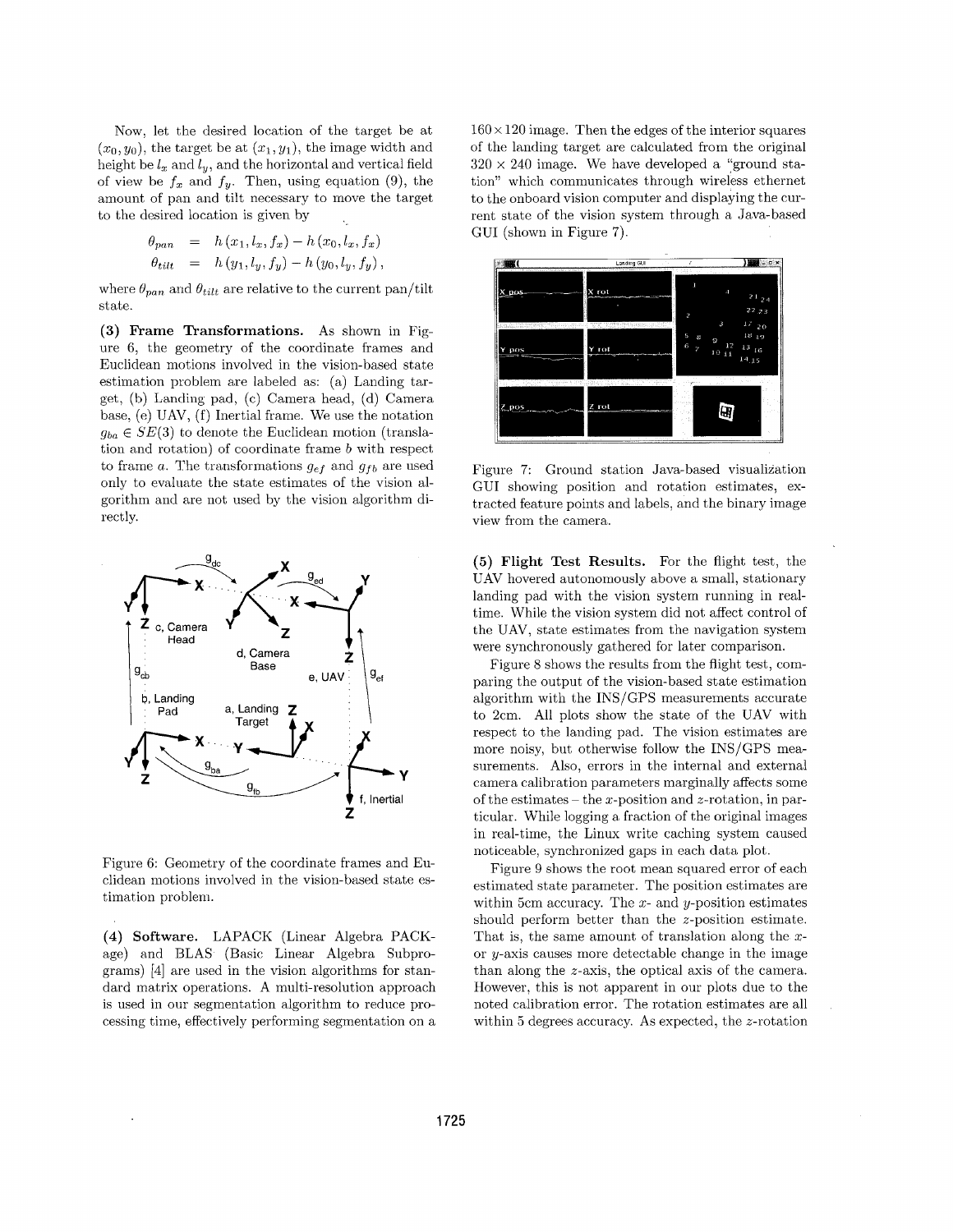Now, let the desired location of the target be at  $(x_0, y_0)$ , the target be at  $(x_1, y_1)$ , the image width and height be  $l_x$  and  $l_y$ , and the horizontal and vertical field of view be  $f_x$  and  $f_y$ . Then, using equation (9), the amount of pan and tilt necessary to move the target to the desired location is given by ,

$$
\begin{array}{rcl}\n\theta_{pan} & = & h(x_1, l_x, f_x) - h(x_0, l_x, f_x) \\
\theta_{tilt} & = & h(y_1, l_y, f_y) - h(y_0, l_y, f_y),\n\end{array}
$$

where  $\theta_{pan}$  and  $\theta_{tilt}$  are relative to the current pan/tilt state.

**(3) Frame Transformations.** As shown in Figure 6, the geometry of the coordinate frames and Euclidean motions involved in the vision-based state estimation problem are labeled as: (a) Landing target, (b) Landing pad, (c) Camera head, (d) Camera base, (e) UAV, (f) Inertial frame. We use the notation  $q_{ba} \in SE(3)$  to denote the Euclidean motion (translation and rotation) of coordinate frame *b* with respect to frame *a*. The transformations  $g_{ef}$  and  $g_{fb}$  are used only to evaluate the state estimates of the vision algorithm and are not used by the vision algorithm directly.



Figure 6: Geometry of the coordinate frames and Euclidean motions involved in the vision-based state estimation problem.

**(4) Software.** LAPACK (Linear Algebra PACKage) and BLAS (Basic Linear Algebra Subprograms) [4] are used in the vision algorithms for standard matrix operations. A multi-resolution approach is used in our segmentation algorithm to reduce processing time, effectively performing segmentation on a

 $160 \times 120$  image. Then the edges of the interior squares of the landing target are calculated from the original  $320 \times 240$  image. We have developed a "ground station" which communicates through wireless ethernet to the onboard vision computer and displaying the current state of the vision system through a Java-based GUI (shown in Figure *7).* 



Figure 7: Ground station Java-based visualization GUI showing position and rotation estimates, extracted feature points and labels, and the binary image view from the camera.

**(5) Flight Test Results.** For the flight test, the UAV hovered autonomously above a small, stationary landing pad with the vision system running in realtime. While the vision system did not affect control of the UAV, state estimates from the navigation system were synchronously gathered for later comparison.

Figure 8 shows the results from the flight test, comparing the output of the vision-based state estimation algorithm with the INS/GPS measurements accurate to 2cm. All plots show the state of the UAV with respect to the landing pad. The vision estimates are more noisy, but otherwise follow the INS/GPS measurements. Also, errors in the internal and external camera calibration parameters marginally affects some of the estimates – the x-position and z-rotation, in particular. While logging a fraction of the original images in real-time, the Linux write caching system caused noticeable, synchronized gaps in each data plot.

Figure 9 shows the root mean squared error of each estimated state parameter. The position estimates are within 5cm accuracy. The *x-* and y-position estimates should perform better than the z-position estimate. That is, the same amount of translation along the  $x$ or  $y$ -axis causes more detectable change in the image than along the z-axis, the optical axis of the camera. However, this is not apparent in our plots due to the noted calibration error. The rotation estimates are all within 5 degrees accuracy. As expected, the *z*-rotation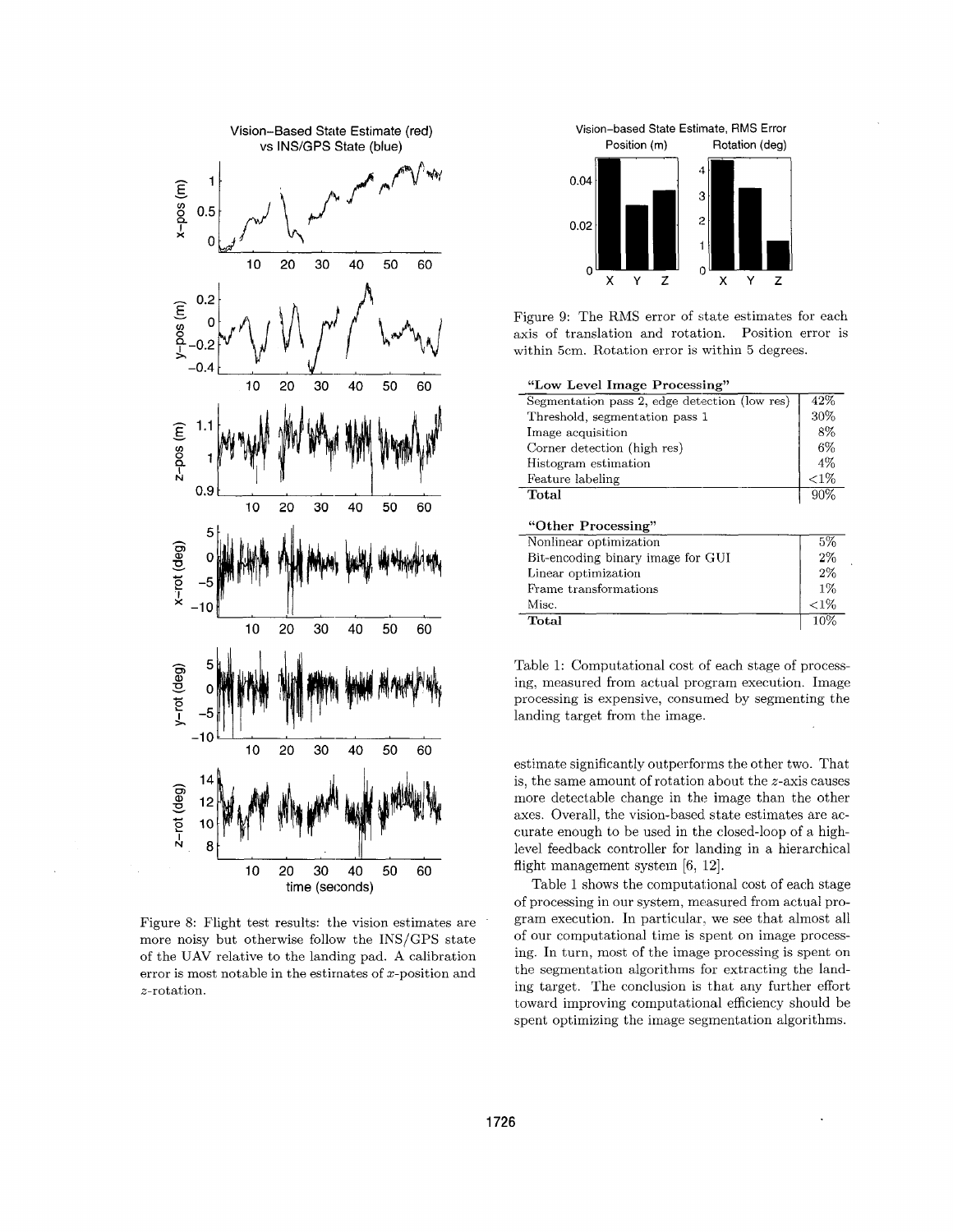

Figure 8: Flight test results: the vision estimates are more noisy but otherwise follow the INS/GPS state of the UAV relative to the landing pad. **A** calibration error is most notable in the estimates of  $x$ -position and z-rotation.

Vision-based State Estimate, RMS Error



Figure 9: The RMS error of state estimates for each axis of translation and rotation. Position error is within 5cm. Rotation error is within 5 degrees.

| "Low Level Image Processing"                  |          |
|-----------------------------------------------|----------|
| Segmentation pass 2, edge detection (low res) | 42%      |
| Threshold, segmentation pass 1                | 30%      |
| Image acquisition                             | 8%       |
| Corner detection (high res)                   | 6%       |
| Histogram estimation                          | 4%       |
| Feature labeling                              | ${<}1\%$ |
| Total                                         | $90\%$   |
| "Other Processing"                            |          |
| Nonlinear optimization                        | 5%       |
| Bit-encoding binary image for GUI             | 2%       |
| Linear optimization                           | 2%       |
| Frame transformations                         | $1\%$    |
| Misc.                                         | ${<}1\%$ |
| Total                                         | 10%      |

Table 1: Computational cost of each stage of processing, measured from actual program execution. Image processing is expensive, consumed by segmenting the landing target from the image.

estimate significantly outperforms the other two. That is, the same amount of rotation about the z-axis causes more detectable change in the image than the other axes. Overall, the vision-based state estimates are accurate enough to be used in the closed-loop of a highlevel feedback controller for landing in a hierarchical flight management system [6, 12].

Table 1 shows the computational cost of each stage of processing in our system, measured from actual program execution. In particular, we see that almost all of our computational time is spent on image processing. In turn, most of the image processing is spent on the segmentation algorithms for extracting the landing target. The conclusion is that any further effort toward improving computational efficiency should be spent optimizing the image segmentation algorithms.